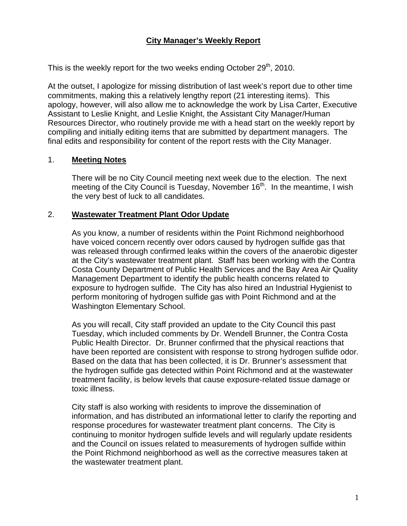## **City Manager's Weekly Report**

This is the weekly report for the two weeks ending October  $29<sup>th</sup>$ , 2010.

At the outset, I apologize for missing distribution of last week's report due to other time commitments, making this a relatively lengthy report (21 interesting items). This apology, however, will also allow me to acknowledge the work by Lisa Carter, Executive Assistant to Leslie Knight, and Leslie Knight, the Assistant City Manager/Human Resources Director, who routinely provide me with a head start on the weekly report by compiling and initially editing items that are submitted by department managers. The final edits and responsibility for content of the report rests with the City Manager.

#### 1. **Meeting Notes**

There will be no City Council meeting next week due to the election. The next meeting of the City Council is Tuesday, November  $16<sup>th</sup>$ . In the meantime, I wish the very best of luck to all candidates.

#### 2. **Wastewater Treatment Plant Odor Update**

As you know, a number of residents within the Point Richmond neighborhood have voiced concern recently over odors caused by hydrogen sulfide gas that was released through confirmed leaks within the covers of the anaerobic digester at the City's wastewater treatment plant. Staff has been working with the Contra Costa County Department of Public Health Services and the Bay Area Air Quality Management Department to identify the public health concerns related to exposure to hydrogen sulfide. The City has also hired an Industrial Hygienist to perform monitoring of hydrogen sulfide gas with Point Richmond and at the Washington Elementary School.

As you will recall, City staff provided an update to the City Council this past Tuesday, which included comments by Dr. Wendell Brunner, the Contra Costa Public Health Director. Dr. Brunner confirmed that the physical reactions that have been reported are consistent with response to strong hydrogen sulfide odor. Based on the data that has been collected, it is Dr. Brunner's assessment that the hydrogen sulfide gas detected within Point Richmond and at the wastewater treatment facility, is below levels that cause exposure-related tissue damage or toxic illness.

City staff is also working with residents to improve the dissemination of information, and has distributed an informational letter to clarify the reporting and response procedures for wastewater treatment plant concerns. The City is continuing to monitor hydrogen sulfide levels and will regularly update residents and the Council on issues related to measurements of hydrogen sulfide within the Point Richmond neighborhood as well as the corrective measures taken at the wastewater treatment plant.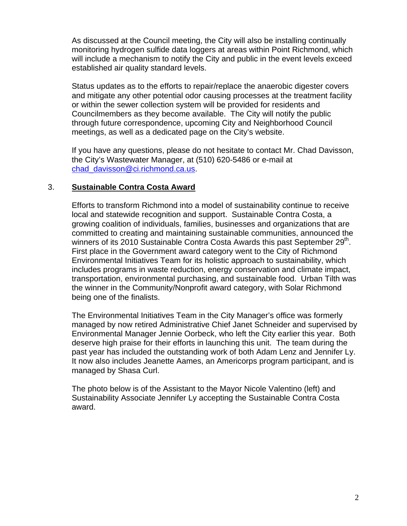As discussed at the Council meeting, the City will also be installing continually monitoring hydrogen sulfide data loggers at areas within Point Richmond, which will include a mechanism to notify the City and public in the event levels exceed established air quality standard levels.

Status updates as to the efforts to repair/replace the anaerobic digester covers and mitigate any other potential odor causing processes at the treatment facility or within the sewer collection system will be provided for residents and Councilmembers as they become available. The City will notify the public through future correspondence, upcoming City and Neighborhood Council meetings, as well as a dedicated page on the City's website.

If you have any questions, please do not hesitate to contact Mr. Chad Davisson, the City's Wastewater Manager, at (510) 620-5486 or e-mail at [chad\\_davisson@ci.richmond.ca.us.](mailto:chad_davisson@ci.richmond.ca.us)

#### 3. **Sustainable Contra Costa Award**

Efforts to transform Richmond into a model of sustainability continue to receive local and statewide recognition and support. Sustainable Contra Costa, a growing coalition of individuals, families, businesses and organizations that are committed to creating and maintaining sustainable communities, announced the winners of its 2010 Sustainable Contra Costa Awards this past September 29<sup>th</sup>. First place in the Government award category went to the City of Richmond Environmental Initiatives Team for its holistic approach to sustainability, which includes programs in waste reduction, energy conservation and climate impact, transportation, environmental purchasing, and sustainable food. Urban Tilth was the winner in the Community/Nonprofit award category, with Solar Richmond being one of the finalists.

The Environmental Initiatives Team in the City Manager's office was formerly managed by now retired Administrative Chief Janet Schneider and supervised by Environmental Manager Jennie Oorbeck, who left the City earlier this year. Both deserve high praise for their efforts in launching this unit. The team during the past year has included the outstanding work of both Adam Lenz and Jennifer Ly. It now also includes Jeanette Aames, an Americorps program participant, and is managed by Shasa Curl.

The photo below is of the Assistant to the Mayor Nicole Valentino (left) and Sustainability Associate Jennifer Ly accepting the Sustainable Contra Costa award.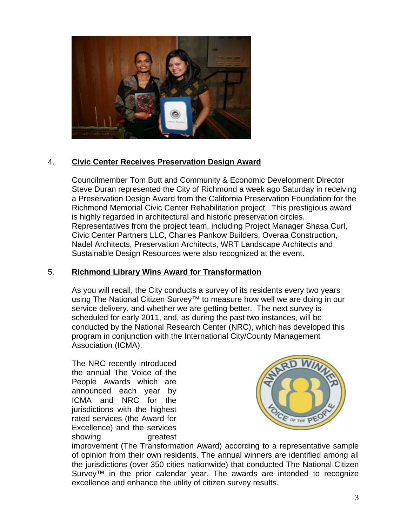

# 4. **Civic Center Receives Preservation Design Award**

Councilmember Tom Butt and Community & Economic Development Director Steve Duran represented the City of Richmond a week ago Saturday in receiving a Preservation Design Award from the California Preservation Foundation for the Richmond Memorial Civic Center Rehabilitation project. This prestigious award is highly regarded in architectural and historic preservation circles. Representatives from the project team, including Project Manager Shasa Curl, Civic Center Partners LLC, Charles Pankow Builders, Overaa Construction, Nadel Architects, Preservation Architects, WRT Landscape Architects and Sustainable Design Resources were also recognized at the event.

# 5. **Richmond Library Wins Award for Transformation**

As you will recall, the City conducts a survey of its residents every two years using The National Citizen Survey<sup>™</sup> to measure how well we are doing in our service delivery, and whether we are getting better. The next survey is scheduled for early 2011, and, as during the past two instances, will be conducted by the National Research Center (NRC), which has developed this program in conjunction with the International City/County Management Association (ICMA).

The NRC recently introduced the annual The Voice of the People Awards which are announced each year by ICMA and NRC for the jurisdictions with the highest rated services (the Award for Excellence) and the services showing greatest



improvement (The Transformation Award) according to a representative sample of opinion from their own residents. The annual winners are identified among all the jurisdictions (over 350 cities nationwide) that conducted The National Citizen Survey<sup>TM</sup> in the prior calendar year. The awards are intended to recognize excellence and enhance the utility of citizen survey results.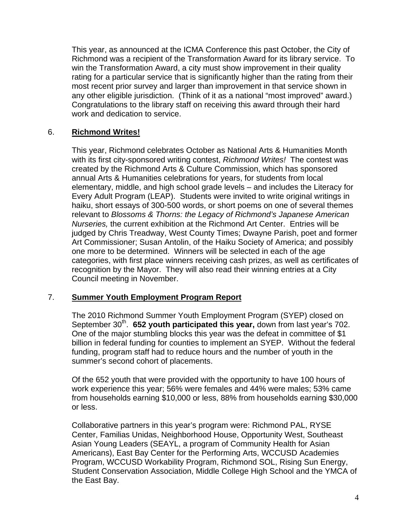This year, as announced at the ICMA Conference this past October, the City of Richmond was a recipient of the Transformation Award for its library service. To win the Transformation Award, a city must show improvement in their quality rating for a particular service that is significantly higher than the rating from their most recent prior survey and larger than improvement in that service shown in any other eligible jurisdiction. (Think of it as a national "most improved" award .) Congratulations to the library sta ff on receiving this award through their hard work and dedication to service.

### 6. **ichmond Writes! R**

with its first city-sponsored writing contest, *Richmond Writes!* The contest was created by the Richmond Arts & Culture Commission, which has sponsored *n*  relevant to *Blossoms & Thorns: the Legacy of Richmond's Japanese America* Art Commissioner; Susan Antolin, of the Haiku Society of America; and possibly categories, with first place winners receiving cash prizes, as well as certificates of recognition by the Mayor. They will also read their winning entries at a City Council meeting in November. This year, Richmond celebrates October as National Arts & Humanities Month annual Arts & Humanities celebrations for years, for students from local elementary, middle, and high school grade levels – and includes the Literacy for Every Adult Program (LEAP). Students were invited to write original writings in haiku, short essays of 300-500 words, or short poems on one of several themes *Nurseries,* the current exhibition at the Richmond Art Center. Entries will be judged by Chris Treadway, West County Times; Dwayne Parish, poet and former one more to be determined. Winners will be selected in each of the age

### 7. **ummer Youth Employment Program Report S**

September 30<sup>th</sup>. 652 youth participated this year, down from last year's 702. billion in federal funding for counties to implement an SYEP. Without the federal funding, program staff had to reduce hours and the number of youth in the summer's second cohort of placements. The 2010 Richmond Summer Youth Employment Program (SYEP) closed on One of the major stumbling blocks this year was the defeat in committee of \$1

from households earning \$10,000 or less, 88% from households earning \$30,000 or less. Of the 652 youth that were provided with the opportunity to have 100 hours of work experience this year; 56% were females and 44% were males; 53% came

Center, Familias Unidas, Neighborhood House, Opportunity West, Southeast Student Conservation Association, Middle College High School and the YMCA of the East Bay. Collaborative partners in this year's program were: Richmond PAL, RYSE Asian Young Leaders (SEAYL, a program of Community Health for Asian Americans), East Bay Center for the Performing Arts, WCCUSD Academies Program, WCCUSD Workability Program, Richmond SOL, Rising Sun Energy,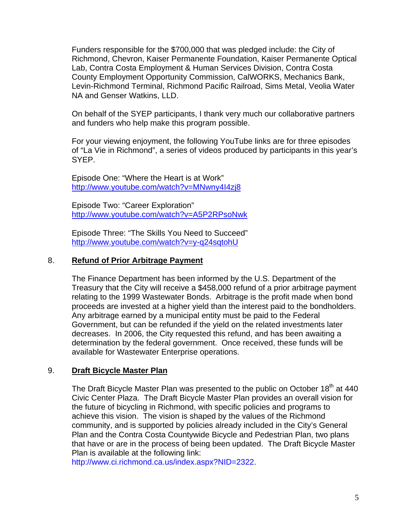Funders responsible for the \$700,000 that was pledged include: the City of Richmond, Chevron, Kaiser Permanente Foundation, Kaiser Permanente O ptical Lab, Contra Costa Employment & Human Services Division, Contra Costa County Employment Opportunity Commission, CalWORKS, Mechanics Bank, Levin-Richmond Terminal, Rich mond Pacific Railroad, Sims Metal, Veolia Water NA and Genser Watkins, LLD.

On behalf of the SYEP participants, I thank very much our collaborative partners and funders who help make this program possible.

of "La Vie in Richmond", a series of videos produced by participants in this year's SYEP. For your viewing enjoyment, the following YouTube links are for three episodes

http://www.youtube.com/watch?v=MNwny4l4zj8 Episode One: "Where the Heart is at Work"

http://www.youtube.com/watch?v=A5P2RPsoNwk Episode Two: "Career Exploration"

Episode Three: "The Skills You Need to Succeed" http://www.youtube.com/watch?v=y-q24sqtohU

### 8. **Refund of Prior Arbitrage Payment**

proceeds are invested at a higher yield than the interest paid to the bondholders. determination by the federal government. Once received, these funds will be available for Wastewater Enterprise operations. The Finance Department has been informed by the U.S. Department of the Treasury that the City will receive a \$458,000 refund of a prior arbitrage payment relating to the 1999 Wastewater Bonds. Arbitrage is the profit made when bond Any arbitrage earned by a municipal entity must be paid to the Federal Government, but can be refunded if the yield on the related investments later decreases. In 2006, the City requested this refund, and has been awaiting a

### 9. **Draft Bicycle Master Plan**

Civic Center Plaza. The Draft Bicycle Master Plan provides an overall vision for that have or are in the process of being been updated. The Draft Bicycle Master The Draft Bicycle Master Plan was presented to the public on October 18<sup>th</sup> at 440 the future of bicycling in Richmond, with specific policies and programs to achieve this vision. The vision is shaped by the values of the Richmond community, and is supported by policies already included in the City's General Plan and the Contra Costa Countywide Bicycle and Pedestrian Plan, two plans Plan is available at the following link:

http://www.ci.richmond.ca.us/index.aspx?NID=2322.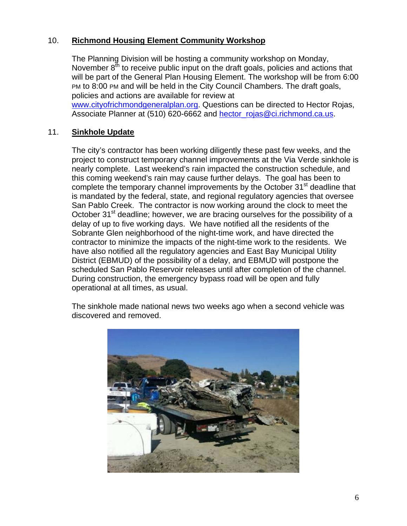# 10. **Richmond Housing Element Community Workshop**

will be part of the General Plan Housing Element. The workshop will be from 6:00 PM to 8:00 PM and will be held in the City Council Chambers. The draft goals, The Planning Division will be hosting a community workshop on Monday, November  $8<sup>th</sup>$  to receive public input on the draft goals, policies and actions that policies and actions are available for review at

[www.cityofrichmondgeneralplan.org](http://www.cityofrichmondgeneralplan.org/). Questions can be directed to Hector Rojas, Associate Planner at (510) 620-6662 and hector roias@ci.richmond.ca.us.

### 11. **Sinkhole Update**

project to construct temporary channel improvements at the Via Verde sinkhole is nearly complete. Last weekend's rain impacted the construction schedule, and October 31<sup>st</sup> deadline; however, we are bracing ourselves for the possibility of a contractor to minimize the impacts of the night-time work to the residents. We scheduled San Pablo Reservoir releases until after completion of the channel. During construction, the emergency bypass road will be open and fully perational at all times, as usual. o The city's contractor has been working diligently these past few weeks, and the this coming weekend's rain may cause further delays. The goal has been to complete the temporary channel improvements by the October 31<sup>st</sup> deadline that is mandated by the federal, state, and regional regulatory agencies that oversee San Pablo Creek. The contractor is now working around the clock to meet the delay of up to five working days. We have notified all the residents of the Sobrante Glen neighborhood of the night-time work, and have directed the have also notified all the regulatory agencies and East Bay Municipal Utility District (EBMUD) of the possibility of a delay, and EBMUD will postpone the

The sinkhole made national news two weeks ago when a second vehicle was discovered and removed.

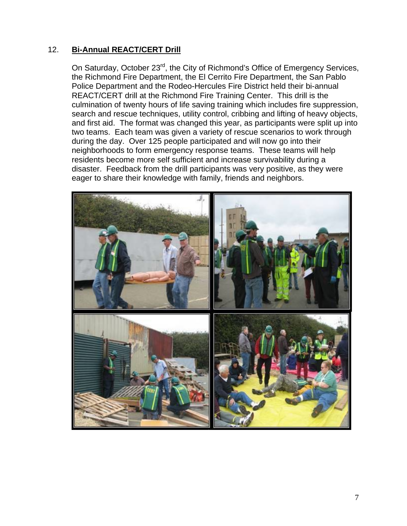### 12. **Bi-Annual REACT/CERT Drill**

On Saturday, October 23<sup>rd</sup>, the City of Richmond's Office of Emergency Services, the Richmond Fire Department, the El Cerrito Fire Department, the San Pablo Police Department and the Rodeo-Hercules Fire District held their bi-annual two teams. Each team was given a variety of rescue scenarios to work through neighborhoods to form emergency response teams. These teams will help disaster. Feedback from the drill participants was very positive, as they were eager to share their knowledge with family, friends and neighbors. REACT/CERT drill at the Richmond Fire Training Center. This drill is the culmination of twenty hours of life saving training which includes fire suppression, search and rescue techniques, utility control, cribbing and lifting of heavy objects, and first aid. The format was changed this year, as participants were split up into during the day. Over 125 people participated and will now go into their residents become more self sufficient and increase survivability during a

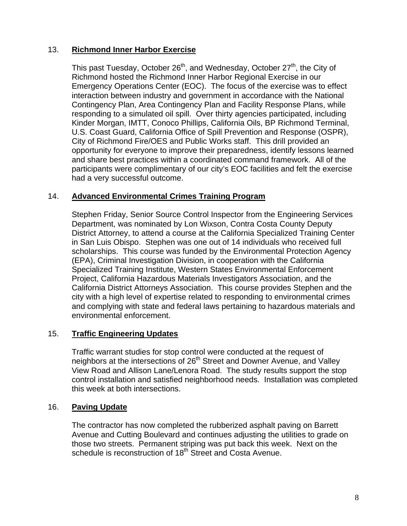### 13. **Richmond Inner Harbor Exercise**

This past Tuesday, October 26<sup>th</sup>, and Wednesday, October 27<sup>th</sup>, the City of U.S. Coast Guard, California Office of Spill Prevention and Response (OSPR), participants were complimentary of our city's EOC facilities and felt the exercise had a very successful outcome. Richmond hosted the Richmond Inner Harbor Regional Exercise in our Emergency Operations Center (EOC). The focus of the exercise was to effect interaction between industry and government in accordance with the National Contingency Plan, Area Contingency Plan and Facility Response Plans, while responding to a simulated oil spill. Over thirty agencies participated, including Kinder Morgan, IMTT, Conoco Phillips, California Oils, BP Richmond Terminal, City of Richmond Fire/OES and Public Works staff. This drill provided an opportunity for everyone to improve their preparedness, identify lessons learned and share best practices within a coordinated command framework. All of the

### 14. Advanced Environmental Crimes Training Program

Stephen Friday, Senior Source Control Inspector from the Engineering Services District Attorney, to attend a course at the California Specialized Training Center scholarships. This course was funded by the Environmental Protection Agency and complying with state and federal laws pertaining to hazardous materials and environmental enforcement. Department, was nominated by Lon Wixson, Contra Costa County Deputy in San Luis Obispo. Stephen was one out of 14 individuals who received full (EPA), Criminal Investigation Division, in cooperation with the California Specialized Training Institute, Western States Environmental Enforcement Project, California Hazardous Materials Investigators Association, and the California District Attorneys Association. This course provides Stephen and the city with a high level of expertise related to responding to environmental crimes

# 15. Traffic Engineering Updates

control installation and satisfied neighborhood needs. Installation was completed this week at both intersections. Traffic warrant studies for stop control were conducted at the request of neighbors at the intersections of 26<sup>th</sup> Street and Downer Avenue, and Valley View Road and Allison Lane/Lenora Road. The study results support the stop

### 16. Paving Update

Avenue and Cutting Boulevard and continues adjusting the utilities to grade on those two streets. Permanent striping was put back this week. Next on the schedule is reconstruction of 18<sup>th</sup> Street and Costa Avenue. The contractor has now completed the rubberized asphalt paving on Barrett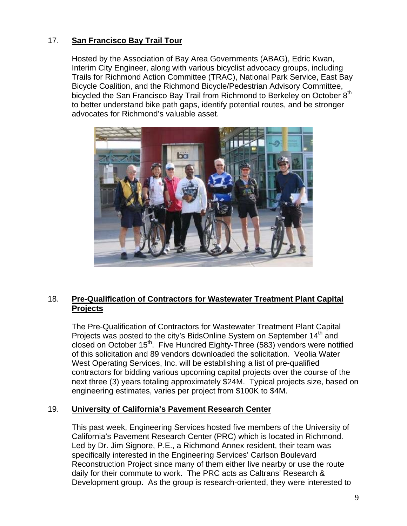# 17. **San Francisco Bay Trail Tour**

Trails for Richmond Action Committee (TRAC), National Park Service, East Bay to better understand bike path gaps, identify potential routes, and be stronger advocates for Richmond's valuable asset. Hosted by the Association of Bay Area Governments (ABAG), Edric Kwan, Interim City Engineer, along with various bicyclist advocacy groups, including Bicycle Coalition, and the Richmond Bicycle/Pedestrian Advisory Committee, bicycled the San Francisco Bay Trail from Richmond to Berkeley on October 8<sup>th</sup>



# 18. **Pre-Qualification of Contractors for Wastewater Treatment Plant Capital Projects**

closed on October 15<sup>th</sup>. Five Hundred Eighty-Three (583) vendors were notified of this solicitation and 89 vendors downloaded the solicitation. Veolia Water next three (3) years totaling approximately \$24M. Typical projects size, based on engineering estimates, varies per project from \$100K to \$4M. The Pre-Qualification of Contractors for Wastewater Treatment Plant Capital Projects was posted to the city's BidsOnline System on September  $14<sup>th</sup>$  and West Operating Services, Inc. will be establishing a list of pre-qualified contractors for bidding various upcoming capital projects over the course of the

### 19. **University of California's Pavement Research Center**

California's Pavement Research Center (PRC) which is located in Richmond. Led by Dr. Jim Signore, P.E., a Richmond Annex resident, their team was Reconstruction Project since many of them either live nearby or use the route This past week, Engineering Services hosted five members of the University of specifically interested in the Engineering Services' Carlson Boulevard daily for their commute to work. The PRC acts as Caltrans' Research & Development group. As the group is research-oriented, they were interested to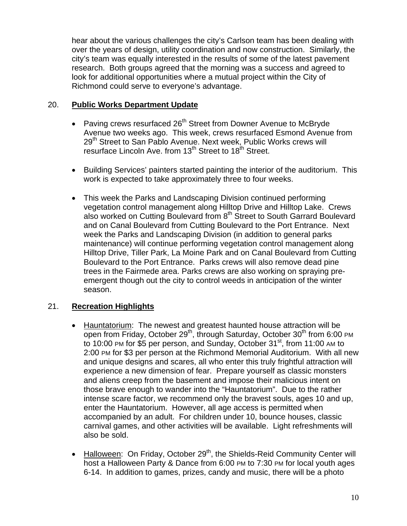hear about the various challenges the city's Carlson team has been dealing with over the years of design, utility coordination and now construction. Similarly, the city's team was equally interested in the results of some of the latest pavement research. Both groups agreed that the morning was a success and agree d to look for additional opportunities where a mutual project within the City of Richmond could serve to everyone's advantage.

### 20. **Public Works Department Update**

- Avenue two weeks ago. This week, crews resurfaced Esmond Avenue from 29<sup>th</sup> Street to San Pablo Avenue. Next week, Public Works crews will resurface Lincoln Ave. from 13<sup>th</sup> Street to 18<sup>th</sup> Street. • Paving crews resurfaced 26<sup>th</sup> Street from Downer Avenue to McBryde
- Building Services' painters started painting the interior of the auditorium. This work is expected to take approximately three to four weeks.
- and on Canal Boulevard from Cutting Boulevard to the Port Entrance. Next Hilltop Drive, Tiller Park, La Moine Park and on Canal Boulevard from Cutting emergent though out the city to control weeds in anticipation of the winter season. This week the Parks and Landscaping Division continued performing vegetation control management along Hilltop Drive and Hilltop Lake. Crews also worked on Cutting Boulevard from 8<sup>th</sup> Street to South Garrard Boulevard week the Parks and Landscaping Division (in addition to general parks maintenance) will continue performing vegetation control management along Boulevard to the Port Entrance. Parks crews will also remove dead pine trees in the Fairmede area. Parks crews are also working on spraying pre-

# 21. **Recreation Highlights**

- Hauntatorium: The newest and greatest haunted house attraction will be open from Friday, October 29<sup>th</sup>, through Saturday, October 30<sup>th</sup> from 6:00 PM to 10:00 PM for \$5 per person, and Sunday, October 31<sup>st</sup>, from 11:00 AM to 2:00 PM for \$3 per person at the Richmond Memorial Auditorium. With all new and unique designs and scares, all who enter this truly frightful attraction wil l experience a new dimension of fear. Prepare yourself as classic monsters and aliens creep from the basement and impose their malicious intent on those brave enough to wander into the "Hauntatorium". Due to the rather intense scare factor, we recommend only the bravest souls, ages 10 and up, enter the Hauntatorium. However, all age access is permitted when accompanied by an adult. For children under 10, bounce houses, classic carnival games , and other activities will be available. Light refreshments will also be sold.
- Halloween: On Friday, October  $29<sup>th</sup>$ , the Shields-Reid Community Center will host a Halloween Party & Dance from 6:00 PM to 7:30 PM for local youth ages 6-14. In addition to games, prizes, candy and music, there will be a photo